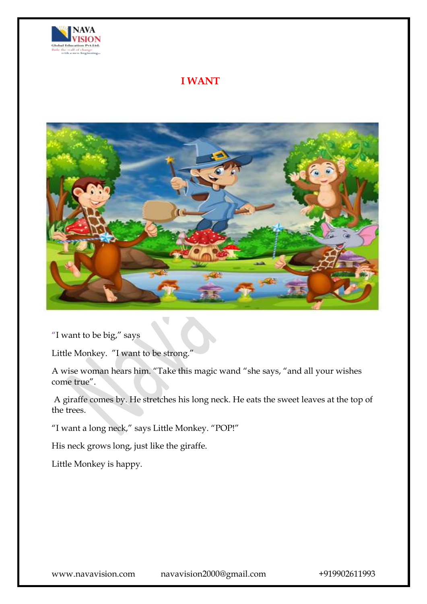

## **I WANT**



"I want to be big," says

Little Monkey. "I want to be strong."

A wise woman hears him. "Take this magic wand "she says, "and all your wishes come true".

A giraffe comes by. He stretches his long neck. He eats the sweet leaves at the top of the trees.

"I want a long neck," says Little Monkey. "POP!"

His neck grows long, just like the giraffe.

Little Monkey is happy.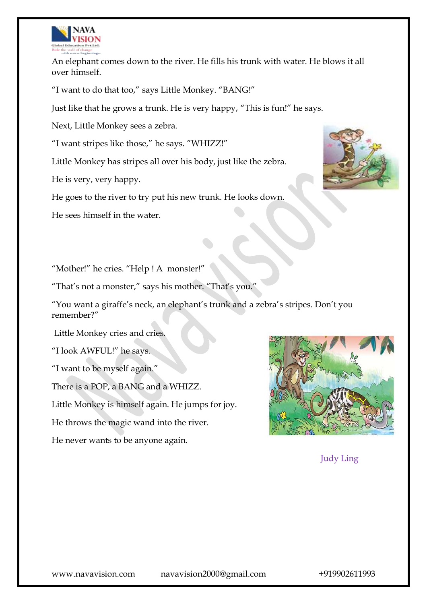

An elephant comes down to the river. He fills his trunk with water. He blows it all over himself.

"I want to do that too," says Little Monkey. "BANG!"

Just like that he grows a trunk. He is very happy, "This is fun!" he says.

Next, Little Monkey sees a zebra.

"I want stripes like those," he says. "WHIZZ!"

Little Monkey has stripes all over his body, just like the zebra.

He is very, very happy.

He goes to the river to try put his new trunk. He looks down.

He sees himself in the water.



"That's not a monster," says his mother. "That's you."

"You want a giraffe's neck, an elephant's trunk and a zebra's stripes. Don't you remember?"

Little Monkey cries and cries.

"I look AWFUL!" he says.

"I want to be myself again."

There is a POP, a BANG and a WHIZZ.

Little Monkey is himself again. He jumps for joy.

He throws the magic wand into the river.

He never wants to be anyone again.



Judy Ling

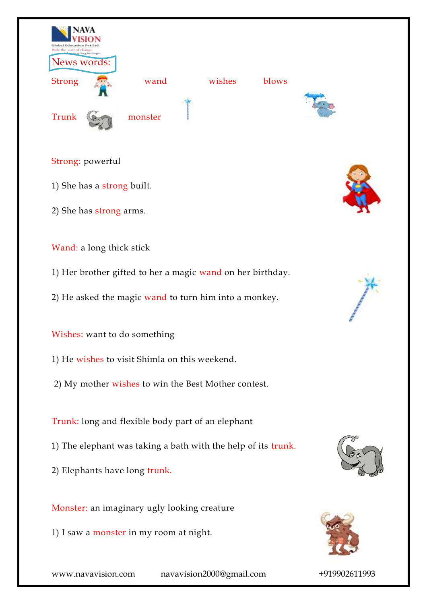

## Strong: powerful

- 1) She has a strong built.
- 2) She has strong arms.



## Wand: a long thick stick

- 1) Her brother gifted to her a magic wand on her birthday.
- 2) He asked the magic wand to turn him into a monkey.

Wishes: want to do something

- 1) He wishes to visit Shimla on this weekend.
- 2) My mother wishes to win the Best Mother contest.

Trunk: long and flexible body part of an elephant

- 1) The elephant was taking a bath with the help of its trunk.
- 2) Elephants have long trunk.

Monster: an imaginary ugly looking creature

1) I saw a monster in my room at night.





www.navavision.com navavision2000@gmail.com +919902611993